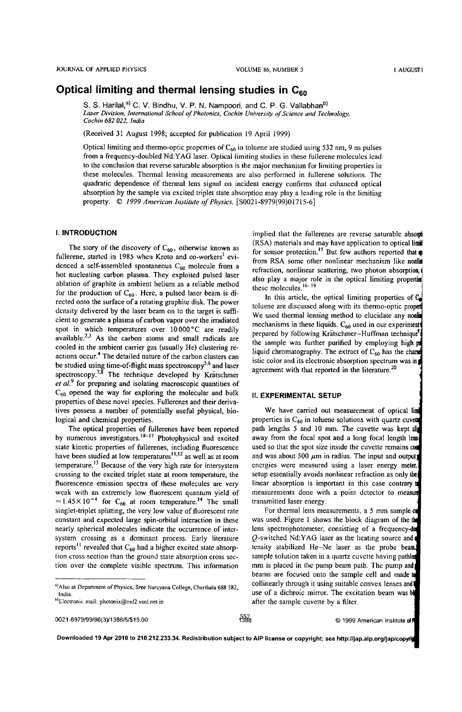# **Optical limiting and thermal lensing studies in C<sub>60</sub>**

S. S. Harilal,<sup>a)</sup> C. V. Bindhu, V. P. N. Nampoori, and C. P. G. Vallabhan<sup>b)</sup> Laser Division, International School of Photonics, Cochin University of Science and Technology, *Cochin* 682 *022, India* 

(Received 31 August 1998; accepted for publication 19 April 1999)

Optical limiting and thermo-optic properties of  $C_{60}$  in toluene are studied using 532 nm, 9 ns pulses from a frequency-doubled Nd:YAG laser. Optical limiting studies in these fullerene molecules lead to the conclusion that reverse saturable absorption is the major mechanism for limiting properties in these molecules. Thermal lensing measurements are also performed in fullerene solutions. The quadratic dependence of thermal lens signal on incident energy confirms that enhanced optical absorption by the sample via excited triplet state absorption may play a leading role in the limiting property. © *1999 American Institute of Physics.* [S0021-8979(99)01715-6]

#### I. INTRODUCTION

The story of the discovery of  $C_{60}$ , otherwise known as fullerene, started in 1985 when Kroto and co-workers<sup>1</sup> evidenced a self-assembled spontaneous  $C_{60}$  molecule from a hot nucleating carbon plasma. They exploited pulsed laser ablation of graphite in ambient helium as a reliable method for the production of  $C_{60}$ . Here, a pulsed laser beam is directed onto the surface of a rotating graphite disk. The power density delivered by the laser beam on to the target is sufficient to generate a plasma of carbon vapor over the irradiated spot in which temperatures over 10 000 °C are readily available.<sup>2,3</sup> As the carbon atoms and small radicals are cooled in the ambient carrier gas (usually He) clustering reactions occur.4 The detailed nature of the carbon clusters can be studied using time-of-flight mass spectroscopy<sup>5,6</sup> and laser spectroscopy.<sup>7,8</sup> The technique developed by Krätschmer et al.<sup>9</sup> for preparing and isolating macroscopic quantities of  $C_{60}$  opened the way for exploring the molecular and bulk properties of these novel species. FulIerenes and their derivatives possess a number of potentially useful physical, biological and chemical properties.

The optical properties of fullerenes have been reported by numerous investigators.  $10^{-17}$  Photophysical and excited state kinetic properties of fullerenes, including fluorescence have been studied at low temperatures<sup>11,12</sup> as well as at room temperature.<sup>13</sup> Because of the very high rate for intersystem crossing to the excited triplet state at room temperature, the fluorescence emission spectra of these molecules are very weak with an extremely low fluorescent quantum yield of  $= 1.45 \times 10^{-4}$  for C<sub>60</sub> at room temperature.<sup>14</sup> The small singlet-triplet splitting, the very low value of fluorescent rate constant and expected large spin-orbital interaction in these nearly spherical molecules indicate the occurrence of intersystem crossing as a dominant process. Early literature reports<sup>11</sup> revealed that  $C_{60}$  had a higher excited state absorption cross section than the ground state absorption cross section over the complete visible spectrum. This information

0021-8979/99/86(3)11388/5/\$15.00

ිසි

Downloaded 19 Apr 2010 to 210.212.233.34. Redistribution subject to AlP license or copyright; see http://jap.aip.org/jap/copyri

implied that the fullerenes are reverse saturable absomt (RSA) materials and may have application to optical limit for sensor protection.<sup>15</sup> But few authors reported that  $\boldsymbol{m}$ from RSA some other nonlinear mechanism like nonlin refraction, nonlinear scattering, two photon absorption ( also play a major role in the optical limiting properties these molecules.<sup>16-19</sup>

In this article, the optical limiting properties of  $C_2$ toluene are discussed along with its thermo-optic propert We used thermal lensing method to elucidate any nonli mechanisms in these liquids.  $C_{60}$  used in our experiment prepared by following Krätschmer-Huffman technique<sup>9</sup> the sample was further purified by employing high pd liquid chromatography. The extract of  $C_{60}$  has the character istic color and its electronic absorption spectrum was in agreement with that reported in the literature.<sup>20</sup>

#### 11. EXPERIMENTAL SETUP

We have carried out measurement of optical lim properties in  $C_{60}$  in toluene solutions with quartz cuvet path lengths 5 and 10 mm. The cuvette was kept slip away from the focal spot and a long focal length lens used so that the spot size inside the cuvette remains con and was about 500  $\mu$ m in radius. The input and output) energies were measured using a laser energy meter. setup essentially avoids nonlinear refraction as only the linear absorption is important in this case contrary t measurements done with a point detector to measure transmitted laser energy.

For thermal lens measurements, a 5 mm sample ca was used. Figure 1 shows the block diagram of the the lens spectrophotometer, consisting of a frequency-do Q-switched Nd:YAG laser as the heating source and tensity stabilized He-Ne laser as the probe beam. sample solution taken in a quartz cuvette having pathler mm is placed in the pump beam path. The pump and beams are focused onto the sample cell and made to collinearly through it using suitable convex lenses and use of a dichroic mirror. The excitation beam was b after the sample cuvette by a filter.

<sup>&</sup>lt;sup>a)</sup>Also at Department of Physics, Sree Narayana College, Cherthala 688 582, India.

b)Electronic mail: photonix@md2.vsnl.net.in

<sup>© 1999</sup> American Institute of P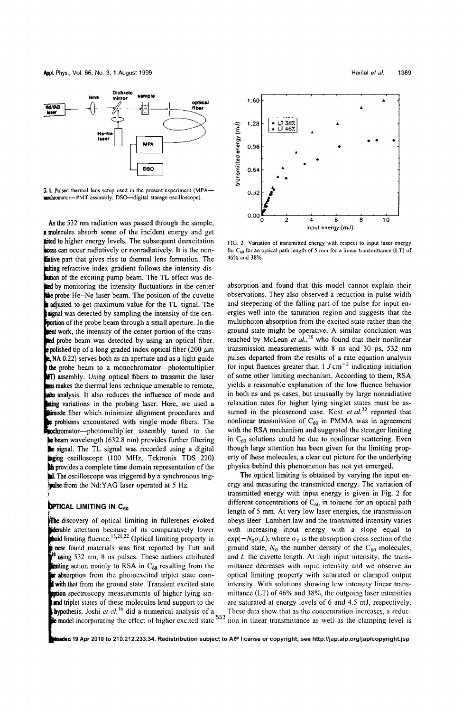

G. 1. Pulsed thermal lens setup used in the present experiment (MPA-mochromator-PMT assembly, DSO-digital storage oscilloscope).

As the 532 nm radiation was passed through the sample, **p** molecules absorb some of the incident energy and get tited to higher energy levels. The subsequent deexcitation **Incess can occur radiatively or nonradiatively.** It is the nonliative part that gives rise to thermal lens formation. The whiting refractive index gradient follows the intensity disbution of the exciting pump beam. The TL effect was dethed by monitoring the intensity fluctuations in the center the probe He-Ne laser beam. The position of the cuvette statusted to get maximum value for the TL signal. The ignal was detected by sampling the intensity of the cen**portion** of the probe beam through a small aperture. In the tent work, the intensity of the center portion of the trans- $\frac{1}{2}$  beam was detected by using an optical fiber. polished tip of a long graded index optical fiber (200 *.urn*  A 0.22) serves both as an aperture and as a light guide the probe beam to a monochromator-photomultiplier **AT)** assembly. Using optical fibers to transmit the laser makes the thermal lens technique amenable to remote, **analysis.** It also reduces the influence of mode and ting variations in the probing laser. Here, we used a **Education** in the pressure of the fiber which minimize alignment procedures and **e** problems encountered with single mode fibers. The **bromator**—photomultiplier assembly tuned to the be beam wavelength (632.8 nm) provides further filtering **le** signal. The TL signal was recorded using a digital nging oscilloscope (100 MHz, Tektronix TDS 220) th provides a complete time domain representation of the **lal.** The oscilloscope was triggered by a synchronous trigfpulse from the Nd:YAG laser operated at 5 Hz.

## **DPTICAL LIMITING IN C<sub>60</sub>**

f

.



FIG. 2. Variation of transmitted energy with respect to input laser energy for  $C_{60}$  for an optical path length of 5 mm for a linear transmittance (LT) of 46% and 38%.

absorption and found that this model cannot explain their observations. They also observed a reduction in pulse width and steepening of the falling part of the pulse for input energies well into the saturation region and suggests that the multiphoton absorption from the excited state rather than the ground state might be operative. A similar conclusion was reached by McLean *et al.*,<sup>18</sup> who found that their nonlinear transmission measurements with 8 ns and 30 ps, 532 nm pulses departed from the results of a rate equation analysis for input fluences greater than  $1 J \text{ cm}^{-2}$  indicating initiation of some other limiting mechanism. According to them, RSA yields a reasonable explanation of the low fluence behavior in both ns and ps cases, but unusually by large nonradiative relaxation rates for higher lying singlet states must be assumed in the picosecond case. Kost et al.<sup>22</sup> reported that nonlinear transmission of  $C_{60}$  in PMMA was in agreement with the RSA mechanism and suggested the stronger limiting in  $C_{60}$  solutions could be due to nonlinear scattering. Even though large attention has been given for the limiting property of these molecules, a clear cut picture for the underlying physics behind this phenomenon has not yet emerged.

The optical limiting is obtained by varying the input energy and measuring the transmitted energy. The variation of transmitted energy with input energy is given in Fig. 2 for different concentrations of  $C_{60}$  in toluene for an optical path length of 5 mm. At very low laser energies, the transmission ithe discovery of optical limiting in fullerenes evoked obeys Beer-Lambert law and the transmitted intensity varies **iderable** attention because of its comparatively lower with increasing input energy with a slope equal to **b old** limiting fluence.<sup>15,21,22</sup> Optical limiting property in  $exp(-N_0 \sigma_L L)$ , where  $\sigma_L$  is the absorption cro  $\exp(-N_0 \sigma_1 L)$ , where  $\sigma_1$  is the absorption cross section of the new found materials was first reported by Tutt and ground state,  $N_0$  the number density of the C<sub>60</sub> molecules,<br><sup>30</sup> using 532 nm, 8 ns pulses. These authors attributed and L the cuvette length. At high input intensity, and  $L$  the cuvette length. At high input intensity, the transiting action mainly to RSA in C<sub>60</sub> resulting from the mittance decreases with input intensity and we observe an<br>**it absorption** from the photoexcited triplet state com-<br>**if with that** from the ground state. Transient exci optical limiting property with saturated or clamped output intensity. With solutions showing low intensity linear trans**uption** spectroscopy measurements of higher lying sin- mittance (LT) of 46% and 38%, the outgoing laser intensities **and triplet states of these molecules lend support to the** are saturated at energy levels of 6 and 4.5 mJ, respectively.<br> **hypothesis.** Joshi *et al.*<sup>16</sup> did a numerical analysis of a These data show that as the concent These data show that as the concentration increases, a reduc**k** model incorporating the effect of higher excited state <sup>553</sup> tion in linear transmittance as well as the clamping level is

ded 19 Apr 2010 to 210.212.233.34. Redistribution subject to AIP license or copyright; see http://jap.aip.org/jap/copyright.jsp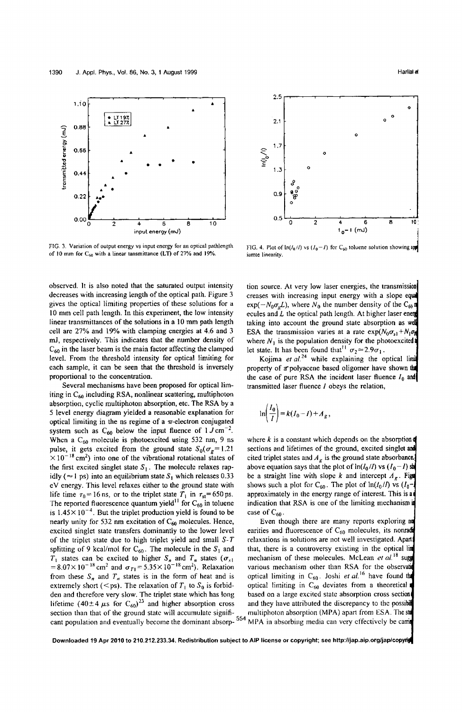

FIG. 3. Variation of output energy vs input energy for an optical pathlength of 10 mm for  $C_{60}$  with a linear tansmittance (LT) of 27% and 19%.

observed. It is also noted that the saturated output intensity decreases with increasing length of the optical path. Figure 3 gives the optical limiting properties of these solutions for a 10 mm cell path length. In this experiment, the low intensity linear transmittances of the solutions in a 10 mm path length cell are 27% and 19% with clamping energies at 4.6 and 3 m], respectively. This indicates that the number density of  $C_{60}$  in the laser beam is the main factor affecting the clamped level. From the threshold intensity for optical limiting for each sample, it can be seen that the threshold is inversely proportional to the concentration.

Several mechanisms have been proposed for optical limiting in  $C_{60}$  including RSA, nonlinear scattering, multiphoton absorption, cyclic multiphoton absorption, etc. The RSA by a 5 level energy diagram yielded a reasonable explanation for optical limiting in the ns regime of a  $\pi$ -electron conjugated system such as  $C_{60}$  below the input fluence of  $1 J \text{ cm}^{-2}$ . When a  $C_{60}$  molecule is photoexcited using 532 nm, 9 ns where *k* is a constant which depends on the absorption pulse, it gets excited from the ground state  $S_0(\sigma_g=1.21$  sections and lifetimes of the ground, excited singlet and  $\times 10^{-18}$  cm<sup>2</sup>) into one of the vibrational rotational states of the first excited singlet state  $S_1$ . The molecule relaxes rap-<br>above equation says that the plot of  $\ln(I_0/I)$  vs  $(I_0-I)$  sh idly ( $\approx$  1 ps) into an equilibrium state S<sub>I</sub> which releases 0.33 be a straight line with slope k and intercept  $A_g$ . Figure eV energy. This level relaxes either to the ground state with shows such a plot for C<sub>60</sub>. The plot of  $\ln(I_0/I)$  vs  $(I_0$ -<br>life time  $\tau_0 = 16$  ns, or to the triplet state  $T_1$  in  $\tau_{st} = 650$  ps. approximately in the en life time  $\tau_0 = 16$  ns, or to the triplet state  $T_1$  in  $\tau_{st} = 650$  ps. The reported fluorescence quantum yield<sup>11</sup> for  $C_{60}$  in toluene indication that RSA is one of the limiting mechanism in is  $1.45 \times 10^{-4}$ . But the triplet production yield is found to be case of C<sub>60</sub>.<br>nearly unity for 532 nm excitation of C<sub>60</sub> molecules. Hence, Even though there are many reports exploring no nearly unity for 532 nm excitation of  $C_{60}$  molecules. Hence, Even though there are many reports exploring no<br>excited singlet state transfers dominantly to the lower level earities and fluorescence of  $C_{60}$  molecules, excited singlet state transfers dominantly to the lower level earities and fluorescence of  $C_{60}$  molecules, its nonradion of the triplet state due to high triplet yield and small  $S-T$  relaxations in solutions are not we of the triplet state due to high triplet yield and small  $S-T$ splitting of 9 kcal/mol for C<sub>60</sub>. The molecule in the S<sub>1</sub> and that, there is a controversy existing in the optical lim<br>  $T_1$  states can be excited to higher S<sub>n</sub> and T<sub>n</sub> states ( $\sigma_{s1}$  mechanism of these molecules.  $T_1$  states can be excited to higher  $S_n$  and  $T_n$  states  $(\sigma_{s_1}$  mechanism of these molecules. McLean *et al.*<sup>18</sup> sug  $=8.07\times10^{-18}$  cm<sup>2</sup> and  $\sigma_{T1}=5.35\times10^{-18}$  cm<sup>2</sup> from these  $S_n$  and  $T_n$  states is in the form of heat and is optical limiting in  $C_{60}$ . Joshi *et al.*<sup>16</sup> have found the extremely short (<ps). The relaxation of  $T_1$  to  $S_0$  is forbid-<br>optical limiting in  $C_{60}$  d den and therefore very slow. The triplet state which has long lifetime (40 $\pm$  4  $\mu$ s for C<sub>60</sub>)<sup>23</sup> and higher absorption cross and they have attributed the discrepancy to the possibile section than that of the ground state will accumulate signifi-<br>multiphoton absorption (MPA) apa section than that of the ground state will accumulate significant population and eventually become the dominant absorp- 554 MPA in absorbing media can very effectively be carried



FIG. 4. Plot of  $\ln(I_0/I)$  vs  $(I_0-I)$  for C<sub>60</sub> toluene solution showing appl iamte linearity.

tion source. At very low laser energies, the transmission creases with increasing input energy with a slope eq  $exp(-N_0\sigma_gL)$ , where  $N_0$  the number density of the C<sub>60</sub><sup>n</sup> ecules and  $L$  the optical path length. At higher laser energ taking into account the ground state absorption as we ESA the transmission varies at a rate  $\exp(N_0 \sigma_{s1} + N_1 \sigma_{\bar{p}})$ where  $N_1$  is the population density for the photoexcited t let state. It has been found that<sup>11</sup>  $\sigma_2 = 2.9\sigma_1$ .

Kojima *et al.*<sup>24</sup> while explaining the optical limit property of a polyacene based oligomer have shown that the case of pure RSA the incident laser fluence  $I_0$  and transmitted laser fluence I obeys the relation,

$$
\ln\left(\frac{I_0}{I}\right) = k(I_0 - I) + A_g,
$$

cited triplet states and  $A<sub>g</sub>$  is the ground state absorbance.

various mechanism other than RSA for the observation optical limiting in  $C_{60}$  deviates from a theoretical not based on a large excited state absorption cross section

Downloaded 19 Apr 2010 to 210.212.233.34. Redistribution subject to AlP license or copyright; see http://jap.aip.org/jap/copyri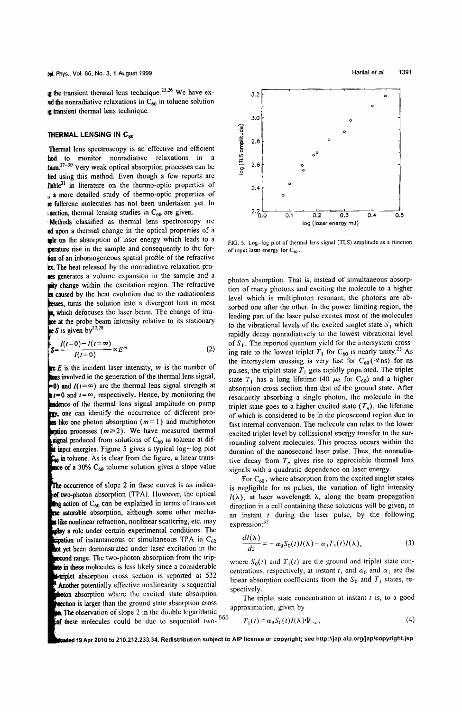ig the transient thermal lens technique.<sup>25,26</sup> We have ex $ed$  the nonradiative relaxations in  $C_{60}$  in toluene solution ig transient thermal lens technique.

#### THERMAL LENSING IN C<sub>50</sub>

Thermal lens spectroscopy is an effective and efficient hod to monitor nonradiative relaxations in a  $\lim_{27-30}$  Very weak optical absorption processes can be lied using this method. Even though a few reports are  $i$ lable $31$  in literature on the thermo-optic properties of a more detailed study of thermo-optic properties of <sup>~</sup>fullerene molecules has not been undertaken yet. In I section, thermal lensing studies in  $C_{60}$  are given.

'Methods classified as thermal lens speetroscopy are Id upon a thermal change in the optical properties of a Iple on the absorption of laser energy which leads to a perature rise in the sample and consequently to the forlion of an inhomogeneous spatial profile of the refractive ex. The heat released by the nonradiative relaxation pro-**ICS** generates a volume expansion in the sample and a  $\mathbf{u}$ ity change within the excitation region. The refractive **x** caused by the heat evolution due to the radiationless besses, turns the solution into a divergent lens in most s, which defocuses the laser beam. The change of irrabe at the probe beam intensity relative to its stationary S is given by  $2^{7,28}$ 

$$
S = \frac{I(t=0) - I(t=\infty)}{I(t=0)} \propto E^m
$$
 (2)

*E* is the incident laser intensity, *m* is the number of kons involved in the generation of the thermal lens signal, **. 0) and**  $I(t = \infty)$  are the thermal lens signal strength at  $t=0$  and  $t=\infty$ , respectively. Hence, by monitoring the **endence of the thermal lens signal amplitude on pump** gy, one can identify the occurrence of different prois like one photon absorption  $(m = 1)$  and multiphoton **iption processes (** $m \ge 2$ **). We have measured thermal** signal produced from solutions of  $C_{60}$  in toluene at dif**it input energies.** Figure 5 gives a typical log-log plot C<sub>on</sub> in toluene. As is clear from the figure, a linear transmore of a 30%  $C_{60}$  toluene solution gives a slope value

The occurrence of slope 2 in these curves is an indicaof two-photon absorption (TPA). However, the optical  $\mathbf{g}$  action of  $C_{60}$  can be explained in terms of transient rse saturable absorption, although some other mecha**s** like nonlinear refraction, nonlinear scattering, etc. may play a role under certain experimental conditions. The  $\epsilon$ ipation of instantaneous or simultaneous TPA in  $C_{60}$ and yet been demonstrated under laser excitation in the **necond range.** The two-photon absorption from the trip-<br>at in these molecules is less likely since a considerable state con-restingual at instant t, and a and a graphe **Another potentially effective nonlinearity is sequential spectively.** to absorption where the excited state absorption The triplet state concentration at instant *t* is, to a good **Exection is larger than the ground state absorption cross** The triplet state con<br>**In the observation of slope 2** in the double logarithmic exproximation, given by  $\frac{1}{2}$  The observation of these molecules could be duc to sequential two- $\frac{555}{7}$ 



FIG. 5. Log-log plot of thermal lens signal (TLS) amplitude as a function of input laser energy for  $C_{60}$ 

photon absorption. That is, instead of simultaneous absorption of many photons and exciting the molecule to a higher level which is multiphoton resonant, the photons are absorbed one after the other. In the power limiting region, the leading part of the laser pulse excites most of the molecules to the vibrational levels of the excited singlet state  $S_1$  which rapidly decay nonradiatively to the lowest vibrational level<br>of  $S_1$ . The reported quantum yield for the intersystem crossing rate to the lowest triplet  $T_1$  for C<sub>60</sub> is nearly unity.<sup>23</sup> As the intersystem crossing is very fast for  $C_{60}$  (  $\ll$  ns) for ns pulses, the triplet state  $T_1$  gets rapidly populated. The triplet state  $T_1$  has a long lifetime (40  $\mu$ s for C<sub>60</sub>) and a higher absorption cross section than that of the ground state. After resonantly absorbing a single photon, the molecule in the triplet state goes to a higher excited state  $(T_n)$ , the lifetime of which is considered to be in the picosccond region due to fast internal conversion. The molecule can relax to the lower excited triplet level by collissional energy transfer to the surrounding solvent molecules. This process occurs within the duration of the nanosecond laser pulse. Thus, the nonradiative decay from  $T_n$  gives rise to appreciable thermal lens signals with a quadratic dependence on laser energy.

For  $C_{60}$ , where absorption from the excited singlet states is negligible for ns pulses, the variation of light intensity  $I(\lambda)$ , at laser wavelength  $\lambda$ , along the beam propagation direction in a cell containing these solutions will be given, at an instant *(* during the laser pulse, by the following expression:<sup>32</sup>

$$
\frac{dI(\lambda)}{dz} = -\alpha_0 S_0(t)I(\lambda) - \alpha_1 T_1(t)I(\lambda),\tag{3}
$$

**interpretations** in these molecules is less likely since a considerable centrations, respectively, at instant *t*, and  $\alpha_0$  and  $\alpha_1$  are the **interpretations** and *a* and *a* are the **s** and *a* and *a* and linear absorption coefficients from the  $S_0$  and  $T_1$  states, re-

$$
T_1(t) = \alpha_0 S_0(t) I(\lambda) \Phi_{\text{isc}}, \qquad (4)
$$

ded 19 Apr 2010 to 210.212.233.34. Redistribution subject to AIP license or copyright; see http://jap.aip.org/jap/copyright.jsp